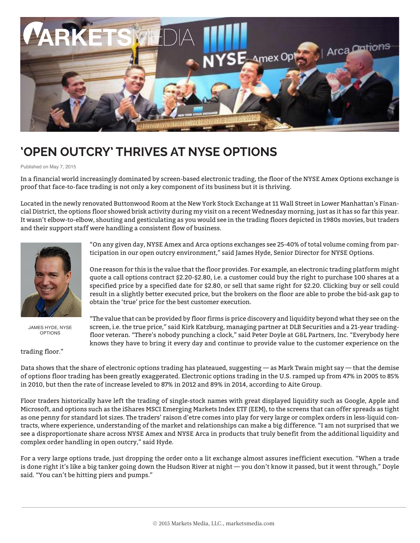

## **'OPEN OUTCRY' THRIVES AT NYSE OPTIONS**

Published on May 7, 2015

In a financial world increasingly dominated by screen-based electronic trading, the floor of the NYSE Amex Options exchange is proof that face-to-face trading is not only a key component of its business but it is thriving.

Located in the newly renovated Buttonwood Room at the New York Stock Exchange at 11 Wall Street in Lower Manhattan's Financial District, the options floor showed brisk activity during my visit on a recent Wednesday morning, just as it has so far this year. It wasn't elbow-to-elbow, shouting and gesticulating as you would see in the trading floors depicted in 1980s movies, but traders and their support staff were handling a consistent flow of business.



JAMES HYDE, NYSE OPTIONS

trading floor."

"On any given day, NYSE Amex and Arca options exchanges see 25-40% of total volume coming from participation in our open outcry environment," said James Hyde, Senior Director for NYSE Options.

One reason for this is the value that the floor provides. For example, an electronic trading platform might quote a call options contract \$2.20-\$2.80, i.e. a customer could buy the right to purchase 100 shares at a specified price by a specified date for \$2.80, or sell that same right for \$2.20. Clicking buy or sell could result in a slightly better executed price, but the brokers on the floor are able to probe the bid-ask gap to obtain the 'true' price for the best customer execution.

"The value that can be provided by floor firms is price discovery and liquidity beyond what they see on the screen, i.e. the true price," said Kirk Katzburg, managing partner at DLB Securities and a 21-year tradingfloor veteran. "There's nobody punching a clock," said Peter Doyle at G&L Partners, Inc. "Everybody here knows they have to bring it every day and continue to provide value to the customer experience on the

Data shows that the share of electronic options trading has plateaued, suggesting — as Mark Twain might say — that the demise of options floor trading has been greatly exaggerated. Electronic options trading in the U.S. ramped up from 47% in 2005 to 85% in 2010, but then the rate of increase leveled to 87% in 2012 and 89% in 2014, according to Aite Group.

Floor traders historically have left the trading of single-stock names with great displayed liquidity such as Google, Apple and Microsoft, and options such as the iShares MSCI Emerging Markets Index ETF (EEM), to the screens that can offer spreads as tight as one penny for standard lot sizes. The traders' raison d'etre comes into play for very large or complex orders in less-liquid contracts, where experience, understanding of the market and relationships can make a big difference. "I am not surprised that we see a disproportionate share across NYSE Amex and NYSE Arca in products that truly benefit from the additional liquidity and complex order handling in open outcry," said Hyde.

For a very large options trade, just dropping the order onto a lit exchange almost assures inefficient execution. "When a trade is done right it's like a big tanker going down the Hudson River at night — you don't know it passed, but it went through," Doyle said. "You can't be hitting piers and pumps."